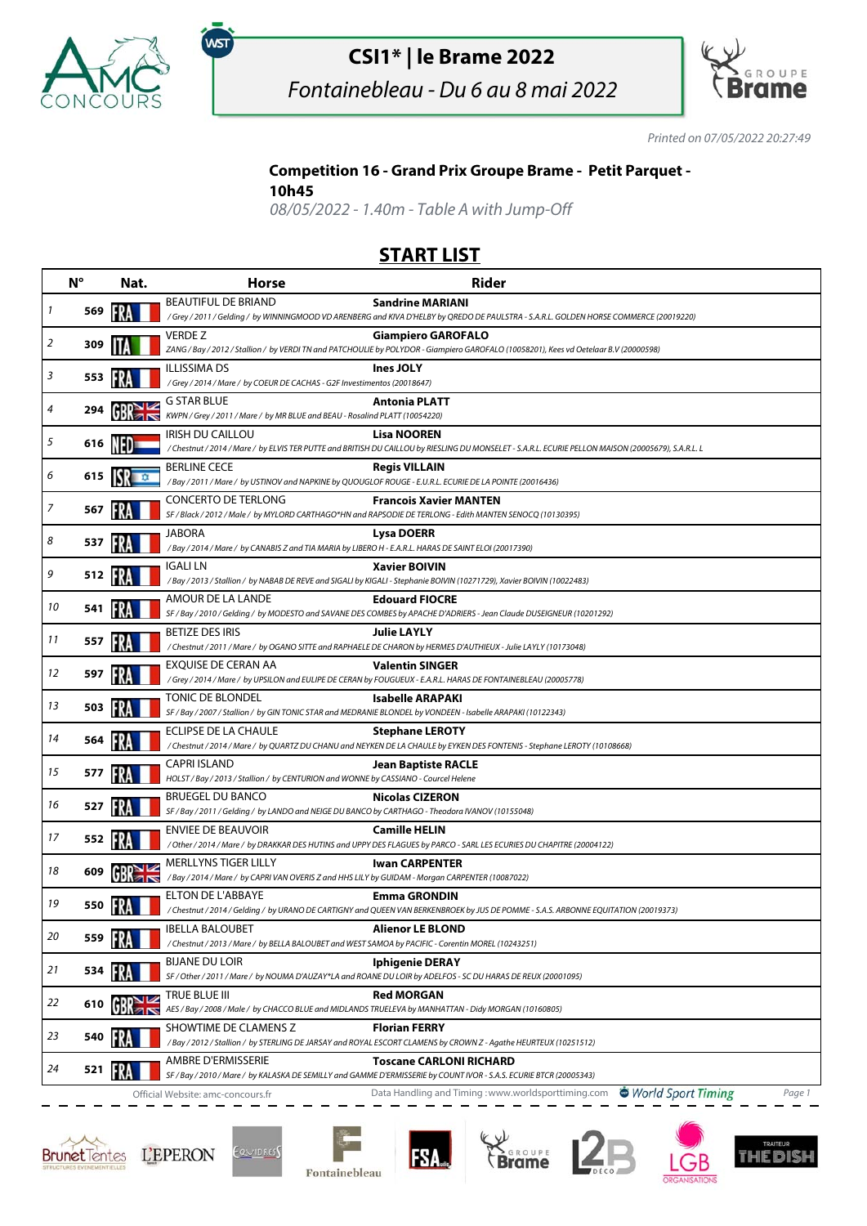

# **CSI1\* | le Brame 2022**

Fontainebleau - Du 6 au 8 mai 2022



Printed on 07/05/2022 20:27:49

### **Competition 16 - Grand Prix Groupe Brame - Petit Parquet -**

#### **10h45**

,<br>wsт

08/05/2022 - 1.40m - Table A with Jump-Off

### **START LIST**

|    | $N^{\circ}$ | Nat.           | <b>Horse</b>                                                                                                                   | <b>Rider</b>                                                                                                                                                              |
|----|-------------|----------------|--------------------------------------------------------------------------------------------------------------------------------|---------------------------------------------------------------------------------------------------------------------------------------------------------------------------|
| 1  | 569         |                | <b>BEAUTIFUL DE BRIAND</b>                                                                                                     | <b>Sandrine MARIANI</b><br>/Grey / 2011 / Gelding / by WINNINGMOOD VD ARENBERG and KIVA D'HELBY by QREDO DE PAULSTRA - S.A.R.L. GOLDEN HORSE COMMERCE (20019220)          |
|    |             |                | <b>VERDEZ</b>                                                                                                                  | <b>Giampiero GAROFALO</b>                                                                                                                                                 |
| 2  | 309         |                |                                                                                                                                | ZANG / Bay / 2012 / Stallion / by VERDI TN and PATCHOULIE by POLYDOR - Giampiero GAROFALO (10058201), Kees vd Oetelaar B.V (20000598)                                     |
| 3  | 553         |                | <b>ILLISSIMA DS</b><br>/Grey / 2014 / Mare / by COEUR DE CACHAS - G2F Investimentos (20018647)                                 | Ines JOLY                                                                                                                                                                 |
|    |             |                | G STAR BLUE                                                                                                                    | <b>Antonia PLATT</b>                                                                                                                                                      |
| 4  | 294         |                | KWPN / Grey / 2011 / Mare / by MR BLUE and BEAU - Rosalind PLATT (10054220)                                                    |                                                                                                                                                                           |
| 5  | 616         |                | <b>IRISH DU CAILLOU</b>                                                                                                        | <b>Lisa NOOREN</b><br>/ Chestnut / 2014 / Mare / by ELVIS TER PUTTE and BRITISH DU CAILLOU by RIESLING DU MONSELET - S.A.R.L. ECURIE PELLON MAISON (20005679), S.A.R.L. L |
| 6  | 615         | ISR ∎∞         | <b>BERLINE CECE</b><br>/Bay / 2011 / Mare / by USTINOV and NAPKINE by QUOUGLOF ROUGE - E.U.R.L. ECURIE DE LA POINTE (20016436) | <b>Regis VILLAIN</b>                                                                                                                                                      |
| 7  | 567         |                | <b>CONCERTO DE TERLONG</b>                                                                                                     | <b>Francois Xavier MANTEN</b>                                                                                                                                             |
|    |             |                | <b>JABORA</b>                                                                                                                  | SF / Black / 2012 / Male / by MYLORD CARTHAGO*HN and RAPSODIE DE TERLONG - Edith MANTEN SENOCQ (10130395)<br><b>Lysa DOERR</b>                                            |
| 8  | 537         |                | /Bay / 2014 / Mare / by CANABIS Z and TIA MARIA by LIBERO H - E.A.R.L. HARAS DE SAINT ELOI (20017390)                          |                                                                                                                                                                           |
| 9  | 512         |                | <b>IGALI LN</b>                                                                                                                | <b>Xavier BOIVIN</b>                                                                                                                                                      |
|    |             |                |                                                                                                                                | / Bay / 2013 / Stallion / by NABAB DE REVE and SIGALI by KIGALI - Stephanie BOIVIN (10271729), Xavier BOIVIN (10022483)                                                   |
| 10 | 541         |                | AMOUR DE LA LANDE                                                                                                              | <b>Edouard FIOCRE</b><br>SF / Bay / 2010 / Gelding / by MODESTO and SAVANE DES COMBES by APACHE D'ADRIERS - Jean Claude DUSEIGNEUR (10201292)                             |
| 11 | 557         |                | <b>BETIZE DES IRIS</b>                                                                                                         | <b>Julie LAYLY</b>                                                                                                                                                        |
|    |             |                |                                                                                                                                | / Chestnut / 2011 / Mare / by OGANO SITTE and RAPHAELE DE CHARON by HERMES D'AUTHIEUX - Julie LAYLY (10173048)                                                            |
| 12 | 597         |                | EXQUISE DE CERAN AA                                                                                                            | <b>Valentin SINGER</b><br>/Grey / 2014 / Mare / by UPSILON and EULIPE DE CERAN by FOUGUEUX - E.A.R.L. HARAS DE FONTAINEBLEAU (20005778)                                   |
| 13 | 503         |                | TONIC DE BLONDEL                                                                                                               | Isabelle ARAPAKI                                                                                                                                                          |
|    |             |                | SF / Bay / 2007 / Stallion / by GIN TONIC STAR and MEDRANIE BLONDEL by VONDEEN - Isabelle ARAPAKI (10122343)                   |                                                                                                                                                                           |
| 14 | 564         |                | ECLIPSE DE LA CHAULE                                                                                                           | <b>Stephane LEROTY</b><br>/ Chestnut / 2014 / Mare / by QUARTZ DU CHANU and NEYKEN DE LA CHAULE by EYKEN DES FONTENIS - Stephane LEROTY (10108668)                        |
| 15 | 577         | FRA            | <b>CAPRI ISLAND</b>                                                                                                            | <b>Jean Baptiste RACLE</b>                                                                                                                                                |
|    |             |                | HOLST / Bay / 2013 / Stallion / by CENTURION and WONNE by CASSIANO - Courcel Helene                                            |                                                                                                                                                                           |
| 16 | 527         |                | <b>BRUEGEL DU BANCO</b><br>SF / Bay / 2011 / Gelding / by LANDO and NEIGE DU BANCO by CARTHAGO - Theodora IVANOV (10155048)    | <b>Nicolas CIZERON</b>                                                                                                                                                    |
|    |             |                | <b>ENVIEE DE BEAUVOIR</b>                                                                                                      | <b>Camille HELIN</b>                                                                                                                                                      |
| 17 | 552         |                |                                                                                                                                | / Other / 2014 / Mare / by DRAKKAR DES HUTINS and UPPY DES FLAGUES by PARCO - SARL LES ECURIES DU CHAPITRE (20004122)                                                     |
| 18 | 609         |                | MERLLYNS TIGER LILLY<br>/ Bay / 2014 / Mare / by CAPRI VAN OVERIS Z and HHS LILY by GUIDAM - Morgan CARPENTER (10087022)       | <b>Iwan CARPENTER</b>                                                                                                                                                     |
|    |             |                | <b>ELTON DE L'ABBAYE</b>                                                                                                       | <b>Emma GRONDIN</b>                                                                                                                                                       |
| 19 | 550         |                |                                                                                                                                | / Chestnut / 2014 / Gelding / by URANO DE CARTIGNY and QUEEN VAN BERKENBROEK by JUS DE POMME - S.A.S. ARBONNE EQUITATION (20019373)                                       |
| 20 | 559         |                | <b>IBELLA BALOUBET</b><br>/Chestnut / 2013 / Mare / by BELLA BALOUBET and WEST SAMOA by PACIFIC - Corentin MOREL (10243251)    | <b>Alienor LE BLOND</b>                                                                                                                                                   |
|    |             |                | <b>BIJANE DU LOIR</b>                                                                                                          | <b>Iphigenie DERAY</b>                                                                                                                                                    |
| 21 | 534         |                |                                                                                                                                | SF / Other / 2011 / Mare / by NOUMA D'AUZAY*LA and ROANE DU LOIR by ADELFOS - SC DU HARAS DE REUX (20001095)                                                              |
| 22 | 610         | NK             | TRUE BLUE III                                                                                                                  | <b>Red MORGAN</b>                                                                                                                                                         |
|    |             | 7 <sup>8</sup> | AES / Bay / 2008 / Male / by CHACCO BLUE and MIDLANDS TRUELEVA by MANHATTAN - Didy MORGAN (10160805)                           |                                                                                                                                                                           |
| 23 | 540         |                | SHOWTIME DE CLAMENS Z                                                                                                          | <b>Florian FERRY</b><br>/Bay / 2012 / Stallion / by STERLING DE JARSAY and ROYAL ESCORT CLAMENS by CROWN Z - Agathe HEURTEUX (10251512)                                   |
| 24 | 521         |                | AMBRE D'ERMISSERIE                                                                                                             | <b>Toscane CARLONI RICHARD</b>                                                                                                                                            |
|    |             |                |                                                                                                                                | SF / Bay / 2010 / Mare / by KALASKA DE SEMILLY and GAMME D'ERMISSERIE by COUNT IVOR - S.A.S. ECURIE BTCR (20005343)                                                       |
|    |             |                | Official Website: amc-concours.fr                                                                                              | Data Handling and Timing: www.worldsporttiming.com World Sport Timing<br>Page 1                                                                                           |





Fontainebleau

**FSA**